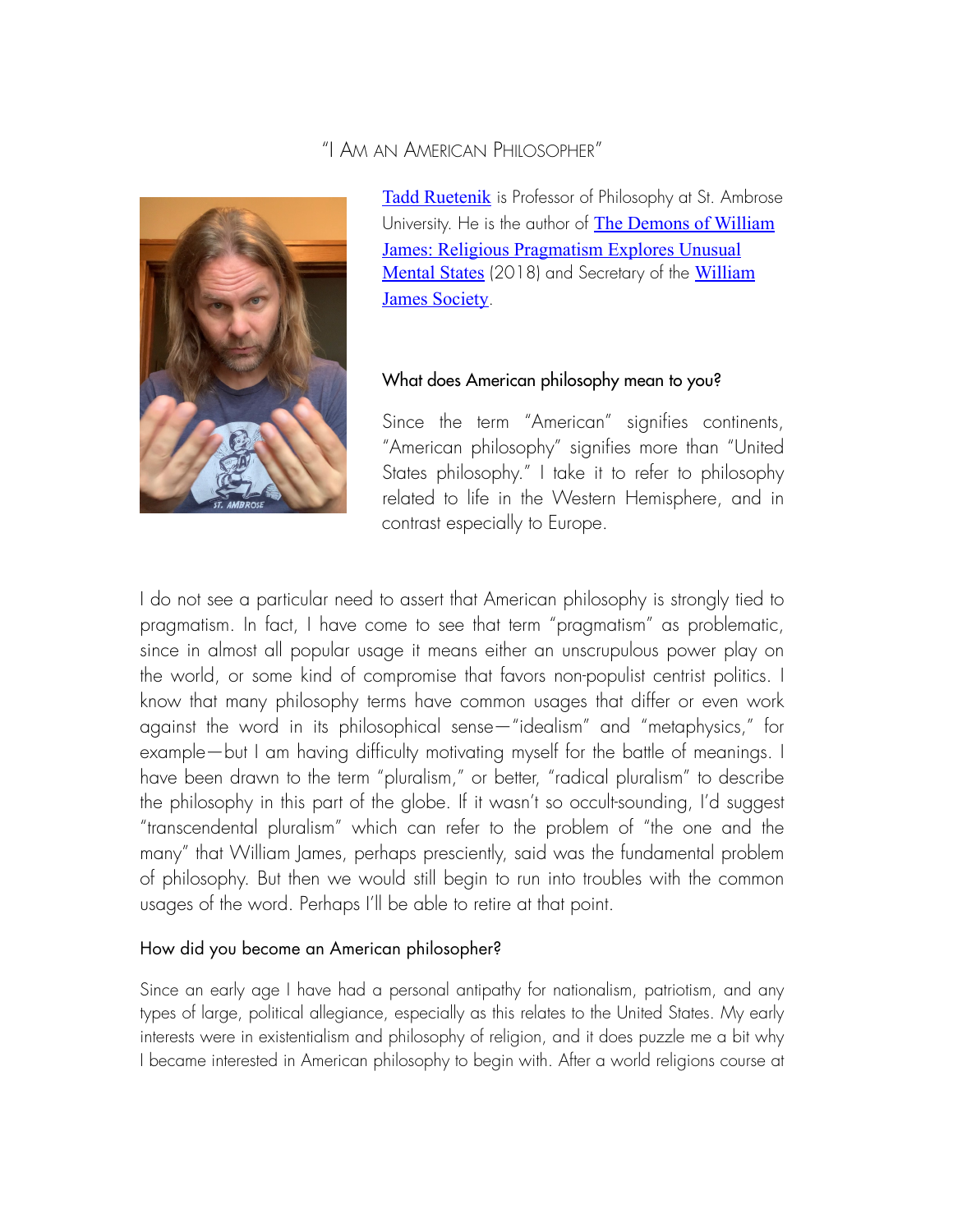# "I AM AN AMERICAN PHILOSOPHER"



[Tadd Ruetenik](https://www.sau.edu/tadd-ruetenik) is Professor of Philosophy at St. Ambrose University. He is the author of [The Demons of William](https://www.palgrave.com/us/book/9783319916224)  [James: Religious Pragmatism Explores Unusual](https://www.palgrave.com/us/book/9783319916224)  [Mental States](https://www.palgrave.com/us/book/9783319916224) (2018) and Secretary of the William [James Society](https://wjsociety.org).

## What does American philosophy mean to you?

Since the term "American" signifies continents, "American philosophy" signifies more than "United" States philosophy." I take it to refer to philosophy related to life in the Western Hemisphere, and in contrast especially to Europe.

I do not see a particular need to assert that American philosophy is strongly tied to pragmatism. In fact, I have come to see that term "pragmatism" as problematic, since in almost all popular usage it means either an unscrupulous power play on the world, or some kind of compromise that favors non-populist centrist politics. I know that many philosophy terms have common usages that differ or even work against the word in its philosophical sense—"idealism" and "metaphysics," for example—but I am having difficulty motivating myself for the battle of meanings. I have been drawn to the term "pluralism," or better, "radical pluralism" to describe the philosophy in this part of the globe. If it wasn't so occult-sounding, I'd suggest "transcendental pluralism" which can refer to the problem of "the one and the many" that William James, perhaps presciently, said was the fundamental problem of philosophy. But then we would still begin to run into troubles with the common usages of the word. Perhaps I'll be able to retire at that point.

## How did you become an American philosopher?

Since an early age I have had a personal antipathy for nationalism, patriotism, and any types of large, political allegiance, especially as this relates to the United States. My early interests were in existentialism and philosophy of religion, and it does puzzle me a bit why I became interested in American philosophy to begin with. After a world religions course at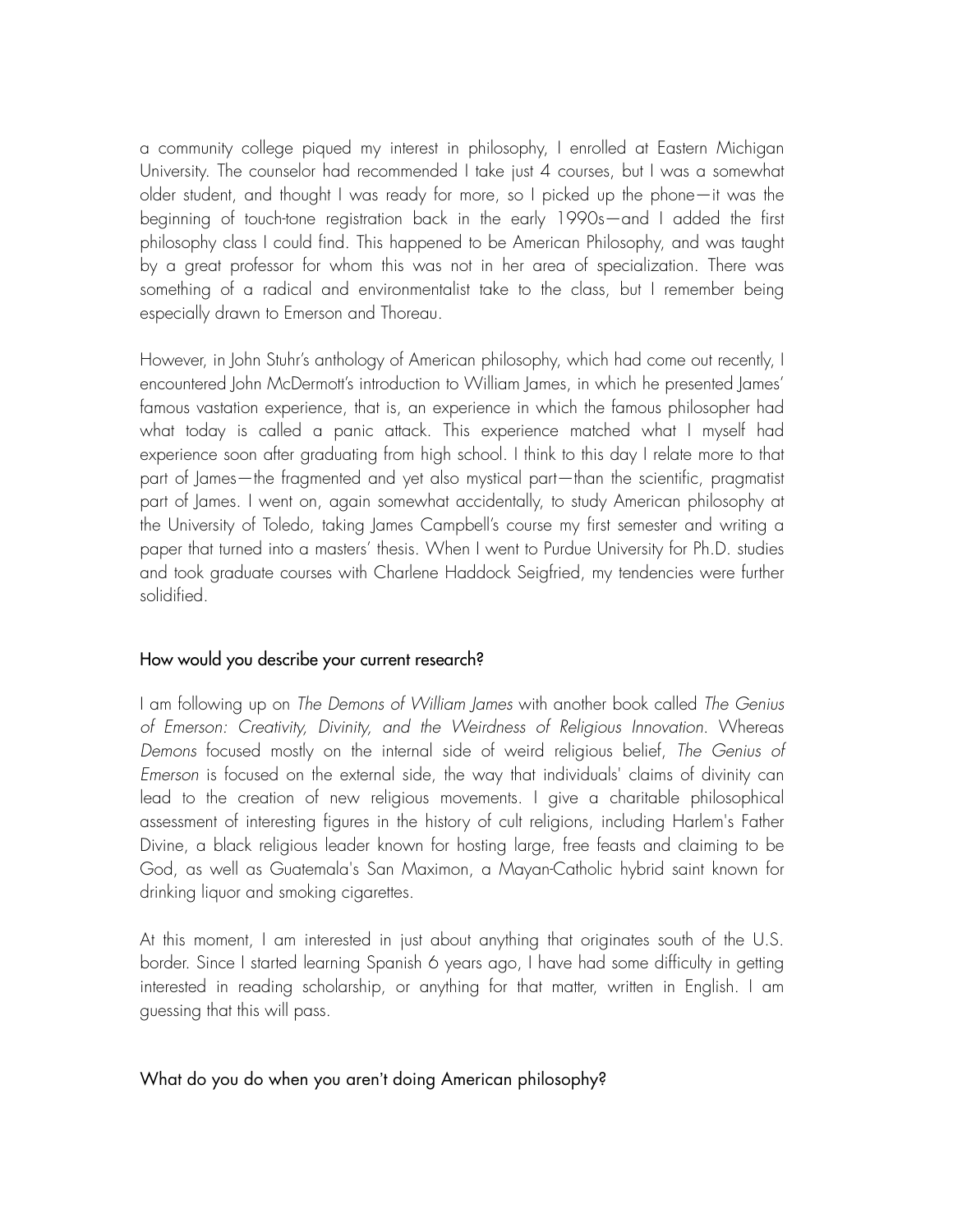a community college piqued my interest in philosophy, I enrolled at Eastern Michigan University. The counselor had recommended I take just 4 courses, but I was a somewhat older student, and thought I was ready for more, so I picked up the phone—it was the beginning of touch-tone registration back in the early 1990s—and I added the frst philosophy class I could fnd. This happened to be American Philosophy, and was taught by a great professor for whom this was not in her area of specialization. There was something of a radical and environmentalist take to the class, but I remember being especially drawn to Emerson and Thoreau.

However, in John Stuhr's anthology of American philosophy, which had come out recently, I encountered John McDermott's introduction to William James, in which he presented James' famous vastation experience, that is, an experience in which the famous philosopher had what today is called a panic attack. This experience matched what I myself had experience soon after graduating from high school. I think to this day I relate more to that part of James—the fragmented and yet also mystical part—than the scientifc, pragmatist part of James. I went on, again somewhat accidentally, to study American philosophy at the University of Toledo, taking James Campbell's course my first semester and writing a paper that turned into a masters' thesis. When I went to Purdue University for Ph.D. studies and took graduate courses with Charlene Haddock Seigfried, my tendencies were further solidifed.

#### How would you describe your current research?

I am following up on *The Demons of William James* with another book called *The Genius of Emerson: Creativity, Divinity, and the Weirdness of Religious Innovation*. Whereas *Demons* focused mostly on the internal side of weird religious belief, *The Genius of Emerson* is focused on the external side, the way that individuals' claims of divinity can lead to the creation of new religious movements. I give a charitable philosophical assessment of interesting figures in the history of cult religions, including Harlem's Father Divine, a black religious leader known for hosting large, free feasts and claiming to be God, as well as Guatemala's San Maximon, a Mayan-Catholic hybrid saint known for drinking liquor and smoking cigarettes.

At this moment, I am interested in just about anything that originates south of the U.S. border. Since I started learning Spanish 6 years ago, I have had some difficulty in getting interested in reading scholarship, or anything for that matter, written in English. I am guessing that this will pass.

#### What do you do when you aren't doing American philosophy?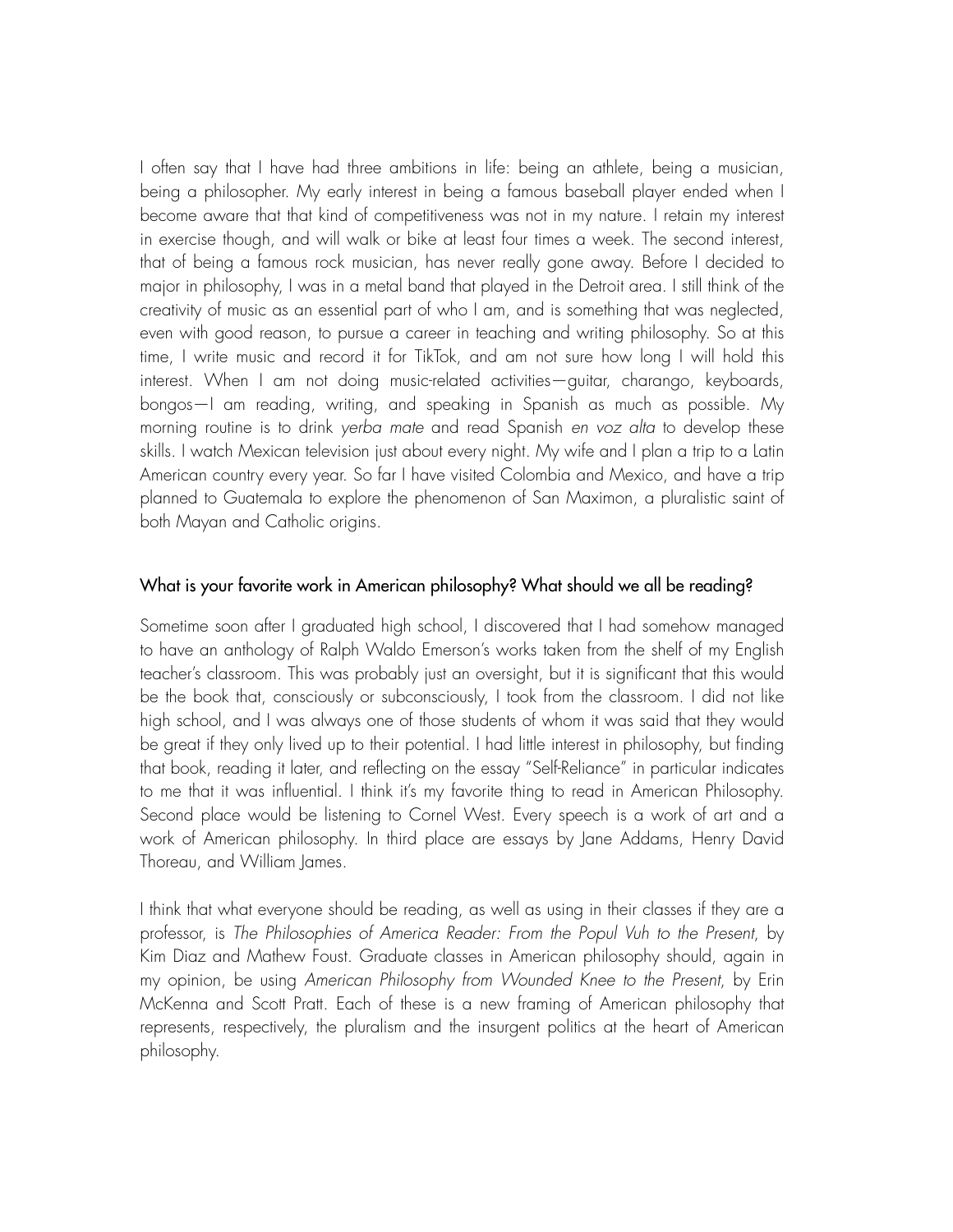I often say that I have had three ambitions in life: being an athlete, being a musician, being a philosopher. My early interest in being a famous baseball player ended when I become aware that that kind of competitiveness was not in my nature. I retain my interest in exercise though, and will walk or bike at least four times a week. The second interest, that of being a famous rock musician, has never really gone away. Before I decided to major in philosophy, I was in a metal band that played in the Detroit area. I still think of the creativity of music as an essential part of who I am, and is something that was neglected, even with good reason, to pursue a career in teaching and writing philosophy. So at this time, I write music and record it for TikTok, and am not sure how long I will hold this interest. When I am not doing music-related activities—guitar, charango, keyboards, bongos—I am reading, writing, and speaking in Spanish as much as possible. My morning routine is to drink *yerba mate* and read Spanish *en voz alta* to develop these skills. I watch Mexican television just about every night. My wife and I plan a trip to a Latin American country every year. So far I have visited Colombia and Mexico, and have a trip planned to Guatemala to explore the phenomenon of San Maximon, a pluralistic saint of both Mayan and Catholic origins.

#### What is your favorite work in American philosophy? What should we all be reading?

Sometime soon after I graduated high school, I discovered that I had somehow managed to have an anthology of Ralph Waldo Emerson's works taken from the shelf of my English teacher's classroom. This was probably just an oversight, but it is significant that this would be the book that, consciously or subconsciously, I took from the classroom. I did not like high school, and I was always one of those students of whom it was said that they would be great if they only lived up to their potential. I had little interest in philosophy, but fnding that book, reading it later, and refecting on the essay "Self-Reliance" in particular indicates to me that it was infuential. I think it's my favorite thing to read in American Philosophy. Second place would be listening to Cornel West. Every speech is a work of art and a work of American philosophy. In third place are essays by Jane Addams, Henry David Thoreau, and William James.

I think that what everyone should be reading, as well as using in their classes if they are a professor, is *The Philosophies of America Reader: From the Popul Vuh to the Present*, by Kim Diaz and Mathew Foust. Graduate classes in American philosophy should, again in my opinion, be using *American Philosophy from Wounded Knee to the Present*, by Erin McKenna and Scott Pratt. Each of these is a new framing of American philosophy that represents, respectively, the pluralism and the insurgent politics at the heart of American philosophy.